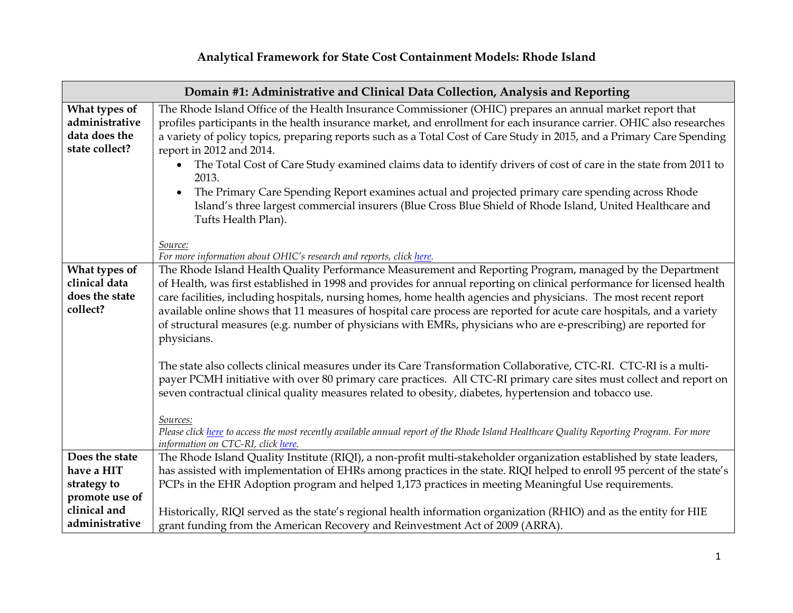## **Analytical Framework for State Cost Containment Models: Rhode Island**

|                                                                    | Domain #1: Administrative and Clinical Data Collection, Analysis and Reporting                                                                                                                                                                                                                                                                                                                                                                                                                                                                                                                                    |  |  |
|--------------------------------------------------------------------|-------------------------------------------------------------------------------------------------------------------------------------------------------------------------------------------------------------------------------------------------------------------------------------------------------------------------------------------------------------------------------------------------------------------------------------------------------------------------------------------------------------------------------------------------------------------------------------------------------------------|--|--|
| What types of<br>administrative<br>data does the<br>state collect? | The Rhode Island Office of the Health Insurance Commissioner (OHIC) prepares an annual market report that<br>profiles participants in the health insurance market, and enrollment for each insurance carrier. OHIC also researches<br>a variety of policy topics, preparing reports such as a Total Cost of Care Study in 2015, and a Primary Care Spending<br>report in 2012 and 2014.                                                                                                                                                                                                                           |  |  |
|                                                                    | The Total Cost of Care Study examined claims data to identify drivers of cost of care in the state from 2011 to<br>2013.                                                                                                                                                                                                                                                                                                                                                                                                                                                                                          |  |  |
|                                                                    | The Primary Care Spending Report examines actual and projected primary care spending across Rhode<br>Island's three largest commercial insurers (Blue Cross Blue Shield of Rhode Island, United Healthcare and<br>Tufts Health Plan).                                                                                                                                                                                                                                                                                                                                                                             |  |  |
|                                                                    | Source:<br>For more information about OHIC's research and reports, click here.                                                                                                                                                                                                                                                                                                                                                                                                                                                                                                                                    |  |  |
| What types of<br>clinical data<br>does the state<br>collect?       | The Rhode Island Health Quality Performance Measurement and Reporting Program, managed by the Department<br>of Health, was first established in 1998 and provides for annual reporting on clinical performance for licensed health<br>care facilities, including hospitals, nursing homes, home health agencies and physicians. The most recent report<br>available online shows that 11 measures of hospital care process are reported for acute care hospitals, and a variety<br>of structural measures (e.g. number of physicians with EMRs, physicians who are e-prescribing) are reported for<br>physicians. |  |  |
|                                                                    | The state also collects clinical measures under its Care Transformation Collaborative, CTC-RI. CTC-RI is a multi-<br>payer PCMH initiative with over 80 primary care practices. All CTC-RI primary care sites must collect and report on<br>seven contractual clinical quality measures related to obesity, diabetes, hypertension and tobacco use.                                                                                                                                                                                                                                                               |  |  |
|                                                                    | Sources:<br>Please click here to access the most recently available annual report of the Rhode Island Healthcare Quality Reporting Program. For more<br>information on CTC-RI, click here.                                                                                                                                                                                                                                                                                                                                                                                                                        |  |  |
| Does the state                                                     | The Rhode Island Quality Institute (RIQI), a non-profit multi-stakeholder organization established by state leaders,                                                                                                                                                                                                                                                                                                                                                                                                                                                                                              |  |  |
| have a HIT                                                         | has assisted with implementation of EHRs among practices in the state. RIQI helped to enroll 95 percent of the state's                                                                                                                                                                                                                                                                                                                                                                                                                                                                                            |  |  |
| strategy to                                                        | PCPs in the EHR Adoption program and helped 1,173 practices in meeting Meaningful Use requirements.                                                                                                                                                                                                                                                                                                                                                                                                                                                                                                               |  |  |
| promote use of                                                     |                                                                                                                                                                                                                                                                                                                                                                                                                                                                                                                                                                                                                   |  |  |
| clinical and                                                       | Historically, RIQI served as the state's regional health information organization (RHIO) and as the entity for HIE                                                                                                                                                                                                                                                                                                                                                                                                                                                                                                |  |  |
| administrative                                                     | grant funding from the American Recovery and Reinvestment Act of 2009 (ARRA).                                                                                                                                                                                                                                                                                                                                                                                                                                                                                                                                     |  |  |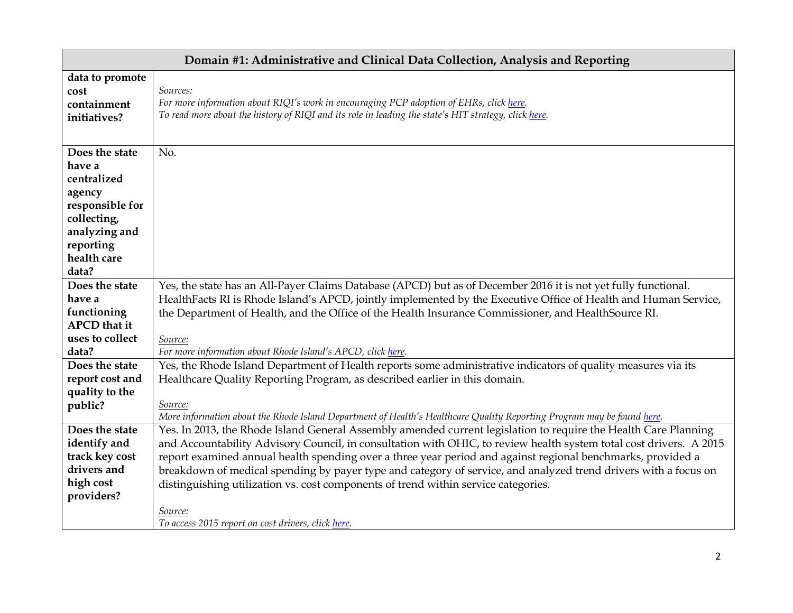|                                | Domain #1: Administrative and Clinical Data Collection, Analysis and Reporting                                                                                                                                                        |  |
|--------------------------------|---------------------------------------------------------------------------------------------------------------------------------------------------------------------------------------------------------------------------------------|--|
| data to promote<br>cost        | Sources:                                                                                                                                                                                                                              |  |
| containment<br>initiatives?    | For more information about RIQI's work in encouraging PCP adoption of EHRs, click here.<br>To read more about the history of RIQI and its role in leading the state's HIT strategy, click here.                                       |  |
| Does the state                 |                                                                                                                                                                                                                                       |  |
| have a                         | No.                                                                                                                                                                                                                                   |  |
| centralized                    |                                                                                                                                                                                                                                       |  |
| agency                         |                                                                                                                                                                                                                                       |  |
| responsible for                |                                                                                                                                                                                                                                       |  |
| collecting,                    |                                                                                                                                                                                                                                       |  |
| analyzing and                  |                                                                                                                                                                                                                                       |  |
| reporting                      |                                                                                                                                                                                                                                       |  |
| health care                    |                                                                                                                                                                                                                                       |  |
| data?                          |                                                                                                                                                                                                                                       |  |
| Does the state                 | Yes, the state has an All-Payer Claims Database (APCD) but as of December 2016 it is not yet fully functional.                                                                                                                        |  |
| have a<br>functioning          | HealthFacts RI is Rhode Island's APCD, jointly implemented by the Executive Office of Health and Human Service,                                                                                                                       |  |
| <b>APCD</b> that it            | the Department of Health, and the Office of the Health Insurance Commissioner, and HealthSource RI.                                                                                                                                   |  |
| uses to collect                | Source:                                                                                                                                                                                                                               |  |
| data?                          | For more information about Rhode Island's APCD, click here.                                                                                                                                                                           |  |
| Does the state                 | Yes, the Rhode Island Department of Health reports some administrative indicators of quality measures via its                                                                                                                         |  |
| report cost and                | Healthcare Quality Reporting Program, as described earlier in this domain.                                                                                                                                                            |  |
| quality to the                 |                                                                                                                                                                                                                                       |  |
| public?                        | Source:                                                                                                                                                                                                                               |  |
|                                | More information about the Rhode Island Department of Health's Healthcare Quality Reporting Program may be found here.                                                                                                                |  |
| Does the state<br>identify and | Yes. In 2013, the Rhode Island General Assembly amended current legislation to require the Health Care Planning<br>and Accountability Advisory Council, in consultation with OHIC, to review health system total cost drivers. A 2015 |  |
| track key cost                 | report examined annual health spending over a three year period and against regional benchmarks, provided a                                                                                                                           |  |
| drivers and                    | breakdown of medical spending by payer type and category of service, and analyzed trend drivers with a focus on                                                                                                                       |  |
| high cost                      | distinguishing utilization vs. cost components of trend within service categories.                                                                                                                                                    |  |
| providers?                     |                                                                                                                                                                                                                                       |  |
|                                | Source:                                                                                                                                                                                                                               |  |
|                                | To access 2015 report on cost drivers, click here.                                                                                                                                                                                    |  |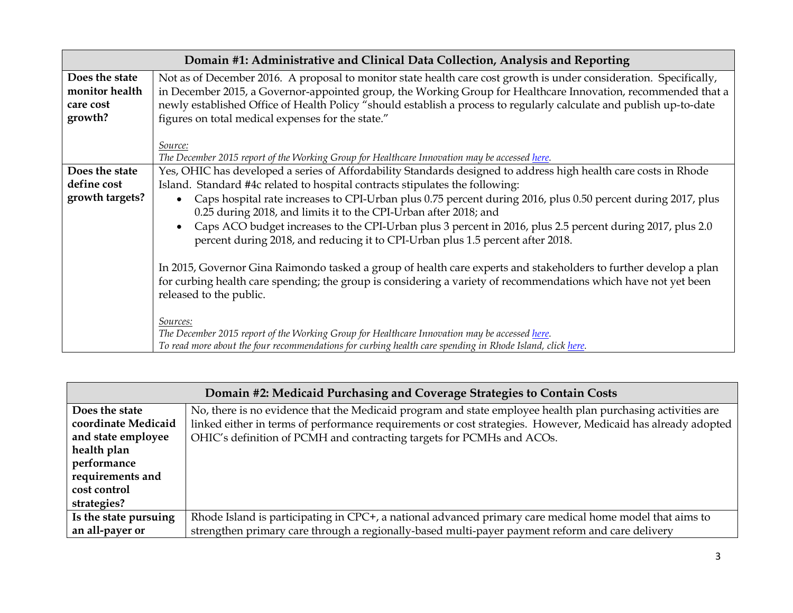|                                                          | Domain #1: Administrative and Clinical Data Collection, Analysis and Reporting                                                                                                                                                                                                                                                                                                                                  |
|----------------------------------------------------------|-----------------------------------------------------------------------------------------------------------------------------------------------------------------------------------------------------------------------------------------------------------------------------------------------------------------------------------------------------------------------------------------------------------------|
| Does the state<br>monitor health<br>care cost<br>growth? | Not as of December 2016. A proposal to monitor state health care cost growth is under consideration. Specifically,<br>in December 2015, a Governor-appointed group, the Working Group for Healthcare Innovation, recommended that a<br>newly established Office of Health Policy "should establish a process to regularly calculate and publish up-to-date<br>figures on total medical expenses for the state." |
|                                                          | Source:<br>The December 2015 report of the Working Group for Healthcare Innovation may be accessed here.                                                                                                                                                                                                                                                                                                        |
| Does the state                                           | Yes, OHIC has developed a series of Affordability Standards designed to address high health care costs in Rhode                                                                                                                                                                                                                                                                                                 |
| define cost                                              | Island. Standard #4c related to hospital contracts stipulates the following:                                                                                                                                                                                                                                                                                                                                    |
| growth targets?                                          | Caps hospital rate increases to CPI-Urban plus 0.75 percent during 2016, plus 0.50 percent during 2017, plus<br>0.25 during 2018, and limits it to the CPI-Urban after 2018; and                                                                                                                                                                                                                                |
|                                                          | Caps ACO budget increases to the CPI-Urban plus 3 percent in 2016, plus 2.5 percent during 2017, plus 2.0<br>percent during 2018, and reducing it to CPI-Urban plus 1.5 percent after 2018.                                                                                                                                                                                                                     |
|                                                          | In 2015, Governor Gina Raimondo tasked a group of health care experts and stakeholders to further develop a plan<br>for curbing health care spending; the group is considering a variety of recommendations which have not yet been<br>released to the public.                                                                                                                                                  |
|                                                          | Sources:<br>The December 2015 report of the Working Group for Healthcare Innovation may be accessed here.<br>To read more about the four recommendations for curbing health care spending in Rhode Island, click here.                                                                                                                                                                                          |

| Domain #2: Medicaid Purchasing and Coverage Strategies to Contain Costs |                                                                                                              |
|-------------------------------------------------------------------------|--------------------------------------------------------------------------------------------------------------|
| Does the state                                                          | No, there is no evidence that the Medicaid program and state employee health plan purchasing activities are  |
| coordinate Medicaid                                                     | linked either in terms of performance requirements or cost strategies. However, Medicaid has already adopted |
| and state employee                                                      | OHIC's definition of PCMH and contracting targets for PCMHs and ACOs.                                        |
| health plan                                                             |                                                                                                              |
| performance                                                             |                                                                                                              |
| requirements and                                                        |                                                                                                              |
| cost control                                                            |                                                                                                              |
| strategies?                                                             |                                                                                                              |
| Is the state pursuing                                                   | Rhode Island is participating in CPC+, a national advanced primary care medical home model that aims to      |
| an all-payer or                                                         | strengthen primary care through a regionally-based multi-payer payment reform and care delivery              |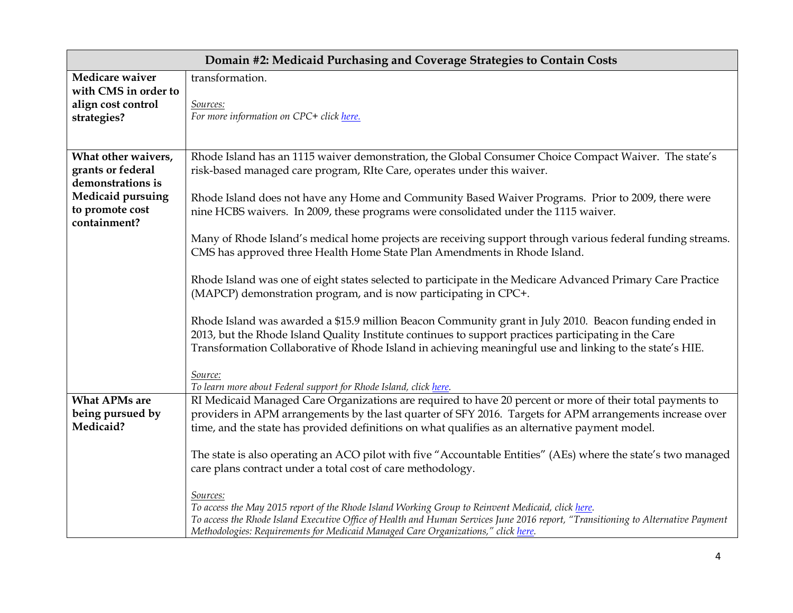|                               | Domain #2: Medicaid Purchasing and Coverage Strategies to Contain Costs                                                                                                                                               |  |
|-------------------------------|-----------------------------------------------------------------------------------------------------------------------------------------------------------------------------------------------------------------------|--|
| Medicare waiver               | transformation.                                                                                                                                                                                                       |  |
| with CMS in order to          |                                                                                                                                                                                                                       |  |
| align cost control            | Sources:                                                                                                                                                                                                              |  |
| strategies?                   | For more information on CPC+ click here.                                                                                                                                                                              |  |
|                               |                                                                                                                                                                                                                       |  |
| What other waivers,           | Rhode Island has an 1115 waiver demonstration, the Global Consumer Choice Compact Waiver. The state's                                                                                                                 |  |
| grants or federal             | risk-based managed care program, RIte Care, operates under this waiver.                                                                                                                                               |  |
| demonstrations is             |                                                                                                                                                                                                                       |  |
| <b>Medicaid pursuing</b>      | Rhode Island does not have any Home and Community Based Waiver Programs. Prior to 2009, there were                                                                                                                    |  |
| to promote cost               | nine HCBS waivers. In 2009, these programs were consolidated under the 1115 waiver.                                                                                                                                   |  |
| containment?                  |                                                                                                                                                                                                                       |  |
|                               | Many of Rhode Island's medical home projects are receiving support through various federal funding streams.                                                                                                           |  |
|                               | CMS has approved three Health Home State Plan Amendments in Rhode Island.                                                                                                                                             |  |
|                               |                                                                                                                                                                                                                       |  |
|                               | Rhode Island was one of eight states selected to participate in the Medicare Advanced Primary Care Practice                                                                                                           |  |
|                               | (MAPCP) demonstration program, and is now participating in CPC+.                                                                                                                                                      |  |
|                               | Rhode Island was awarded a \$15.9 million Beacon Community grant in July 2010. Beacon funding ended in                                                                                                                |  |
|                               | 2013, but the Rhode Island Quality Institute continues to support practices participating in the Care                                                                                                                 |  |
|                               | Transformation Collaborative of Rhode Island in achieving meaningful use and linking to the state's HIE.                                                                                                              |  |
|                               |                                                                                                                                                                                                                       |  |
|                               | Source:                                                                                                                                                                                                               |  |
|                               | To learn more about Federal support for Rhode Island, click here.                                                                                                                                                     |  |
| <b>What APMs are</b>          | RI Medicaid Managed Care Organizations are required to have 20 percent or more of their total payments to                                                                                                             |  |
| being pursued by<br>Medicaid? | providers in APM arrangements by the last quarter of SFY 2016. Targets for APM arrangements increase over                                                                                                             |  |
|                               | time, and the state has provided definitions on what qualifies as an alternative payment model.                                                                                                                       |  |
|                               | The state is also operating an ACO pilot with five "Accountable Entities" (AEs) where the state's two managed                                                                                                         |  |
|                               | care plans contract under a total cost of care methodology.                                                                                                                                                           |  |
|                               |                                                                                                                                                                                                                       |  |
|                               | Sources:                                                                                                                                                                                                              |  |
|                               | To access the May 2015 report of the Rhode Island Working Group to Reinvent Medicaid, click here.                                                                                                                     |  |
|                               | To access the Rhode Island Executive Office of Health and Human Services June 2016 report, "Transitioning to Alternative Payment<br>Methodologies: Requirements for Medicaid Managed Care Organizations," click here. |  |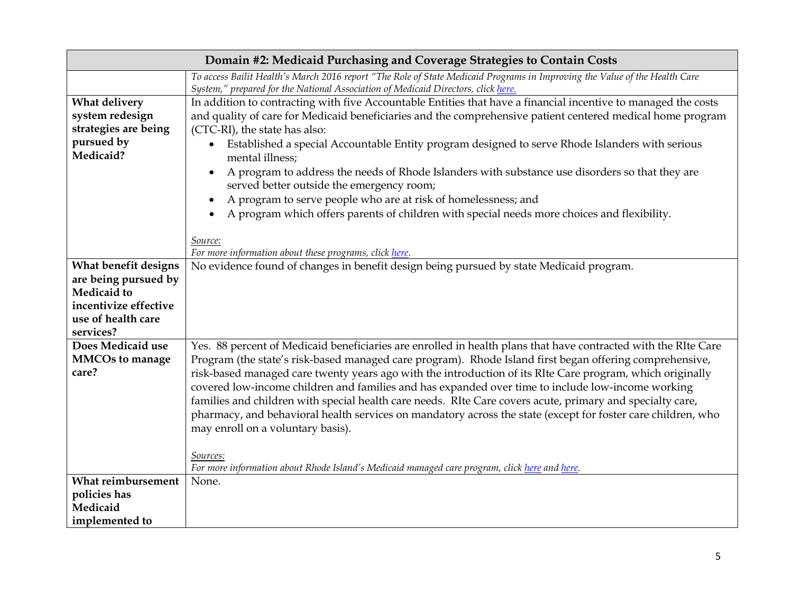|                        | Domain #2: Medicaid Purchasing and Coverage Strategies to Contain Costs                                                                      |  |
|------------------------|----------------------------------------------------------------------------------------------------------------------------------------------|--|
|                        | To access Bailit Health's March 2016 report "The Role of State Medicaid Programs in Improving the Value of the Health Care                   |  |
|                        | System," prepared for the National Association of Medicaid Directors, click here.                                                            |  |
| What delivery          | In addition to contracting with five Accountable Entities that have a financial incentive to managed the costs                               |  |
| system redesign        | and quality of care for Medicaid beneficiaries and the comprehensive patient centered medical home program                                   |  |
| strategies are being   | (CTC-RI), the state has also:                                                                                                                |  |
| pursued by             | Established a special Accountable Entity program designed to serve Rhode Islanders with serious                                              |  |
| Medicaid?              | mental illness;                                                                                                                              |  |
|                        | A program to address the needs of Rhode Islanders with substance use disorders so that they are<br>served better outside the emergency room; |  |
|                        | A program to serve people who are at risk of homelessness; and                                                                               |  |
|                        | A program which offers parents of children with special needs more choices and flexibility.                                                  |  |
|                        |                                                                                                                                              |  |
|                        | Source:                                                                                                                                      |  |
|                        | For more information about these programs, click here.                                                                                       |  |
| What benefit designs   | No evidence found of changes in benefit design being pursued by state Medicaid program.                                                      |  |
| are being pursued by   |                                                                                                                                              |  |
| <b>Medicaid</b> to     |                                                                                                                                              |  |
| incentivize effective  |                                                                                                                                              |  |
| use of health care     |                                                                                                                                              |  |
| services?              |                                                                                                                                              |  |
| Does Medicaid use      | Yes. 88 percent of Medicaid beneficiaries are enrolled in health plans that have contracted with the RIte Care                               |  |
| <b>MMCOs to manage</b> | Program (the state's risk-based managed care program). Rhode Island first began offering comprehensive,                                      |  |
| care?                  | risk-based managed care twenty years ago with the introduction of its RIte Care program, which originally                                    |  |
|                        | covered low-income children and families and has expanded over time to include low-income working                                            |  |
|                        | families and children with special health care needs. RIte Care covers acute, primary and specialty care,                                    |  |
|                        | pharmacy, and behavioral health services on mandatory across the state (except for foster care children, who                                 |  |
|                        | may enroll on a voluntary basis).                                                                                                            |  |
|                        |                                                                                                                                              |  |
|                        | Sources:                                                                                                                                     |  |
|                        | For more information about Rhode Island's Medicaid managed care program, click here and here.                                                |  |
| What reimbursement     | None.                                                                                                                                        |  |
| policies has           |                                                                                                                                              |  |
| Medicaid               |                                                                                                                                              |  |
| implemented to         |                                                                                                                                              |  |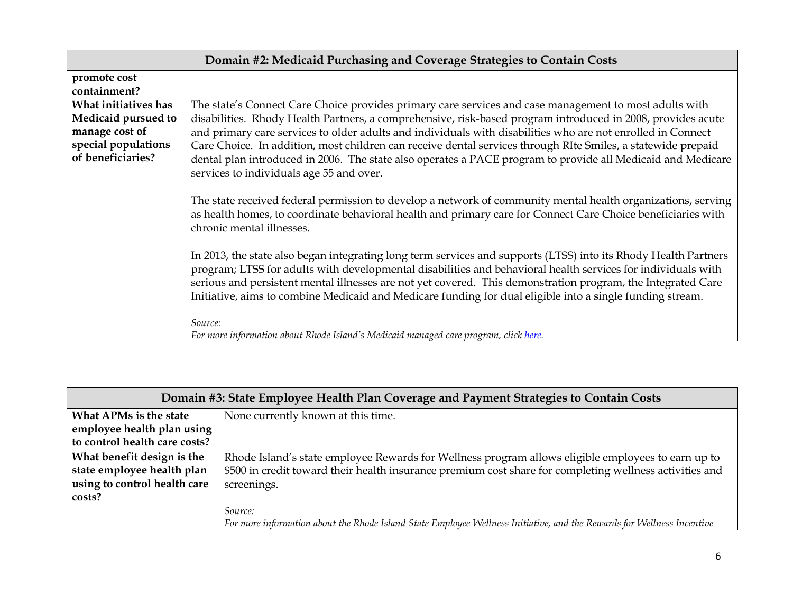| Domain #2: Medicaid Purchasing and Coverage Strategies to Contain Costs                                   |                                                                                                                                                                                                                                                                                                                                                                                                                                                                                                                                                                                                                 |
|-----------------------------------------------------------------------------------------------------------|-----------------------------------------------------------------------------------------------------------------------------------------------------------------------------------------------------------------------------------------------------------------------------------------------------------------------------------------------------------------------------------------------------------------------------------------------------------------------------------------------------------------------------------------------------------------------------------------------------------------|
| promote cost<br>containment?                                                                              |                                                                                                                                                                                                                                                                                                                                                                                                                                                                                                                                                                                                                 |
| What initiatives has<br>Medicaid pursued to<br>manage cost of<br>special populations<br>of beneficiaries? | The state's Connect Care Choice provides primary care services and case management to most adults with<br>disabilities. Rhody Health Partners, a comprehensive, risk-based program introduced in 2008, provides acute<br>and primary care services to older adults and individuals with disabilities who are not enrolled in Connect<br>Care Choice. In addition, most children can receive dental services through RIte Smiles, a statewide prepaid<br>dental plan introduced in 2006. The state also operates a PACE program to provide all Medicaid and Medicare<br>services to individuals age 55 and over. |
|                                                                                                           | The state received federal permission to develop a network of community mental health organizations, serving<br>as health homes, to coordinate behavioral health and primary care for Connect Care Choice beneficiaries with<br>chronic mental illnesses.                                                                                                                                                                                                                                                                                                                                                       |
|                                                                                                           | In 2013, the state also began integrating long term services and supports (LTSS) into its Rhody Health Partners<br>program; LTSS for adults with developmental disabilities and behavioral health services for individuals with<br>serious and persistent mental illnesses are not yet covered. This demonstration program, the Integrated Care<br>Initiative, aims to combine Medicaid and Medicare funding for dual eligible into a single funding stream.                                                                                                                                                    |
|                                                                                                           | Source:<br>For more information about Rhode Island's Medicaid managed care program, click here.                                                                                                                                                                                                                                                                                                                                                                                                                                                                                                                 |

| Domain #3: State Employee Health Plan Coverage and Payment Strategies to Contain Costs |                                                                                                                        |
|----------------------------------------------------------------------------------------|------------------------------------------------------------------------------------------------------------------------|
| What APMs is the state                                                                 | None currently known at this time.                                                                                     |
| employee health plan using                                                             |                                                                                                                        |
| to control health care costs?                                                          |                                                                                                                        |
| What benefit design is the                                                             | Rhode Island's state employee Rewards for Wellness program allows eligible employees to earn up to                     |
| state employee health plan                                                             | \$500 in credit toward their health insurance premium cost share for completing wellness activities and                |
| using to control health care                                                           | screenings.                                                                                                            |
| costs?                                                                                 |                                                                                                                        |
|                                                                                        | Source:                                                                                                                |
|                                                                                        | For more information about the Rhode Island State Employee Wellness Initiative, and the Rewards for Wellness Incentive |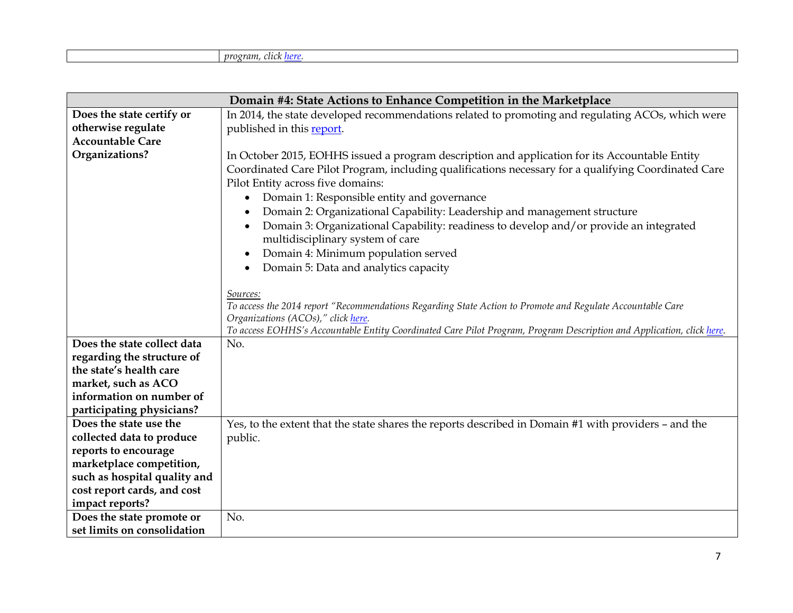| Domain #4: State Actions to Enhance Competition in the Marketplace |                                                                                                                                                                                                                                                                                                                                                                                                                                                                                                                                                                                                   |
|--------------------------------------------------------------------|---------------------------------------------------------------------------------------------------------------------------------------------------------------------------------------------------------------------------------------------------------------------------------------------------------------------------------------------------------------------------------------------------------------------------------------------------------------------------------------------------------------------------------------------------------------------------------------------------|
| Does the state certify or                                          | In 2014, the state developed recommendations related to promoting and regulating ACOs, which were                                                                                                                                                                                                                                                                                                                                                                                                                                                                                                 |
| otherwise regulate                                                 | published in this report.                                                                                                                                                                                                                                                                                                                                                                                                                                                                                                                                                                         |
| <b>Accountable Care</b>                                            |                                                                                                                                                                                                                                                                                                                                                                                                                                                                                                                                                                                                   |
| Organizations?                                                     | In October 2015, EOHHS issued a program description and application for its Accountable Entity<br>Coordinated Care Pilot Program, including qualifications necessary for a qualifying Coordinated Care<br>Pilot Entity across five domains:<br>Domain 1: Responsible entity and governance<br>$\bullet$<br>Domain 2: Organizational Capability: Leadership and management structure<br>Domain 3: Organizational Capability: readiness to develop and/or provide an integrated<br>multidisciplinary system of care<br>Domain 4: Minimum population served<br>Domain 5: Data and analytics capacity |
|                                                                    | Sources:<br>To access the 2014 report "Recommendations Regarding State Action to Promote and Regulate Accountable Care<br>Organizations (ACOs)," click here.<br>To access EOHHS's Accountable Entity Coordinated Care Pilot Program, Program Description and Application, click here.                                                                                                                                                                                                                                                                                                             |
| Does the state collect data                                        | No.                                                                                                                                                                                                                                                                                                                                                                                                                                                                                                                                                                                               |
| regarding the structure of                                         |                                                                                                                                                                                                                                                                                                                                                                                                                                                                                                                                                                                                   |
| the state's health care                                            |                                                                                                                                                                                                                                                                                                                                                                                                                                                                                                                                                                                                   |
| market, such as ACO                                                |                                                                                                                                                                                                                                                                                                                                                                                                                                                                                                                                                                                                   |
| information on number of                                           |                                                                                                                                                                                                                                                                                                                                                                                                                                                                                                                                                                                                   |
| participating physicians?                                          |                                                                                                                                                                                                                                                                                                                                                                                                                                                                                                                                                                                                   |
| Does the state use the                                             | Yes, to the extent that the state shares the reports described in Domain #1 with providers - and the                                                                                                                                                                                                                                                                                                                                                                                                                                                                                              |
| collected data to produce                                          | public.                                                                                                                                                                                                                                                                                                                                                                                                                                                                                                                                                                                           |
| reports to encourage                                               |                                                                                                                                                                                                                                                                                                                                                                                                                                                                                                                                                                                                   |
| marketplace competition,                                           |                                                                                                                                                                                                                                                                                                                                                                                                                                                                                                                                                                                                   |
| such as hospital quality and                                       |                                                                                                                                                                                                                                                                                                                                                                                                                                                                                                                                                                                                   |
| cost report cards, and cost                                        |                                                                                                                                                                                                                                                                                                                                                                                                                                                                                                                                                                                                   |
| impact reports?                                                    |                                                                                                                                                                                                                                                                                                                                                                                                                                                                                                                                                                                                   |
| Does the state promote or                                          | No.                                                                                                                                                                                                                                                                                                                                                                                                                                                                                                                                                                                               |
| set limits on consolidation                                        |                                                                                                                                                                                                                                                                                                                                                                                                                                                                                                                                                                                                   |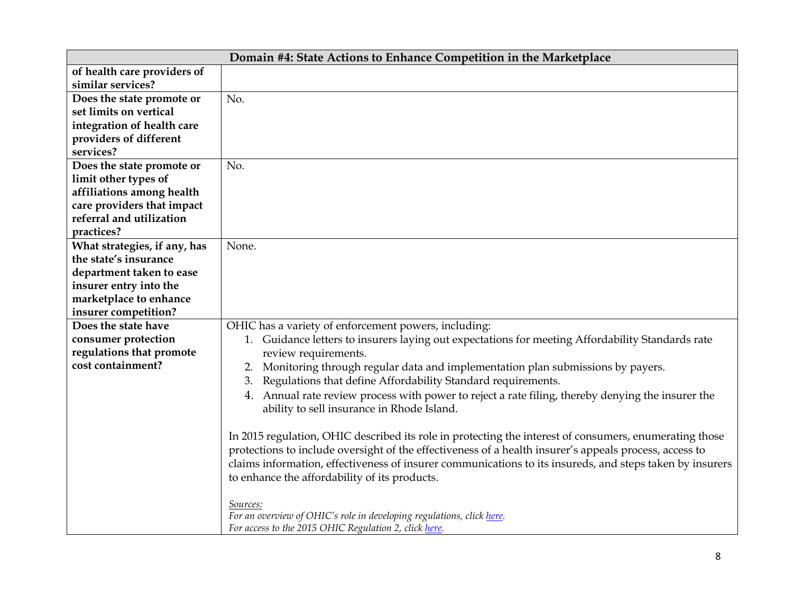|                              | Domain #4: State Actions to Enhance Competition in the Marketplace                                                                              |
|------------------------------|-------------------------------------------------------------------------------------------------------------------------------------------------|
| of health care providers of  |                                                                                                                                                 |
| similar services?            |                                                                                                                                                 |
| Does the state promote or    | No.                                                                                                                                             |
| set limits on vertical       |                                                                                                                                                 |
| integration of health care   |                                                                                                                                                 |
| providers of different       |                                                                                                                                                 |
| services?                    |                                                                                                                                                 |
| Does the state promote or    | No.                                                                                                                                             |
| limit other types of         |                                                                                                                                                 |
| affiliations among health    |                                                                                                                                                 |
| care providers that impact   |                                                                                                                                                 |
| referral and utilization     |                                                                                                                                                 |
| practices?                   |                                                                                                                                                 |
| What strategies, if any, has | None.                                                                                                                                           |
| the state's insurance        |                                                                                                                                                 |
| department taken to ease     |                                                                                                                                                 |
| insurer entry into the       |                                                                                                                                                 |
| marketplace to enhance       |                                                                                                                                                 |
| insurer competition?         |                                                                                                                                                 |
| Does the state have          | OHIC has a variety of enforcement powers, including:                                                                                            |
| consumer protection          | 1. Guidance letters to insurers laying out expectations for meeting Affordability Standards rate                                                |
| regulations that promote     | review requirements.                                                                                                                            |
| cost containment?            | Monitoring through regular data and implementation plan submissions by payers.<br>2.                                                            |
|                              | Regulations that define Affordability Standard requirements.                                                                                    |
|                              | 4. Annual rate review process with power to reject a rate filing, thereby denying the insurer the<br>ability to sell insurance in Rhode Island. |
|                              |                                                                                                                                                 |
|                              | In 2015 regulation, OHIC described its role in protecting the interest of consumers, enumerating those                                          |
|                              | protections to include oversight of the effectiveness of a health insurer's appeals process, access to                                          |
|                              | claims information, effectiveness of insurer communications to its insureds, and steps taken by insurers                                        |
|                              | to enhance the affordability of its products.                                                                                                   |
|                              | Sources:                                                                                                                                        |
|                              | For an overview of OHIC's role in developing regulations, click here.                                                                           |
|                              | For access to the 2015 OHIC Regulation 2, click here.                                                                                           |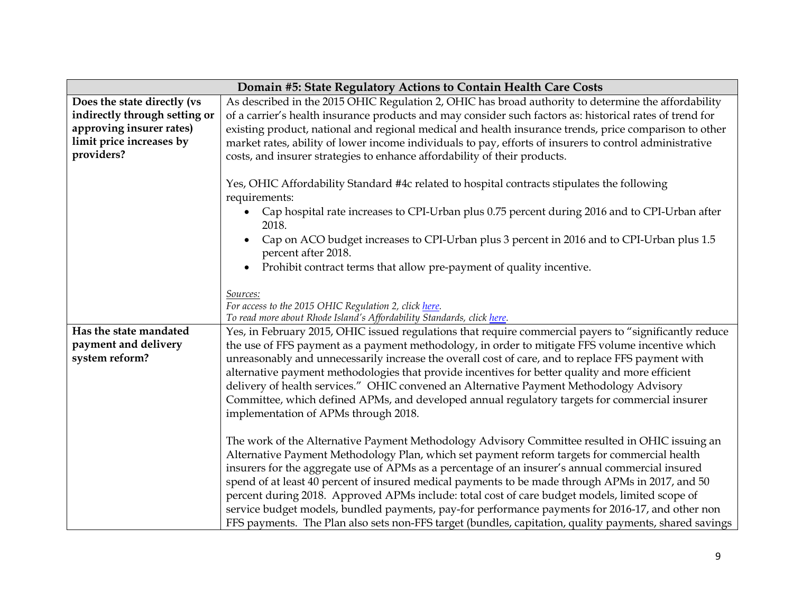|                               | Domain #5: State Regulatory Actions to Contain Health Care Costs                                                                                                                                                                                                                                                                                                                                                                                                                                                                                                                                                                                                                                                       |
|-------------------------------|------------------------------------------------------------------------------------------------------------------------------------------------------------------------------------------------------------------------------------------------------------------------------------------------------------------------------------------------------------------------------------------------------------------------------------------------------------------------------------------------------------------------------------------------------------------------------------------------------------------------------------------------------------------------------------------------------------------------|
| Does the state directly (vs   | As described in the 2015 OHIC Regulation 2, OHIC has broad authority to determine the affordability                                                                                                                                                                                                                                                                                                                                                                                                                                                                                                                                                                                                                    |
| indirectly through setting or | of a carrier's health insurance products and may consider such factors as: historical rates of trend for                                                                                                                                                                                                                                                                                                                                                                                                                                                                                                                                                                                                               |
| approving insurer rates)      | existing product, national and regional medical and health insurance trends, price comparison to other                                                                                                                                                                                                                                                                                                                                                                                                                                                                                                                                                                                                                 |
| limit price increases by      | market rates, ability of lower income individuals to pay, efforts of insurers to control administrative                                                                                                                                                                                                                                                                                                                                                                                                                                                                                                                                                                                                                |
| providers?                    | costs, and insurer strategies to enhance affordability of their products.                                                                                                                                                                                                                                                                                                                                                                                                                                                                                                                                                                                                                                              |
|                               | Yes, OHIC Affordability Standard #4c related to hospital contracts stipulates the following<br>requirements:<br>Cap hospital rate increases to CPI-Urban plus 0.75 percent during 2016 and to CPI-Urban after<br>2018.<br>Cap on ACO budget increases to CPI-Urban plus 3 percent in 2016 and to CPI-Urban plus 1.5<br>percent after 2018.<br>Prohibit contract terms that allow pre-payment of quality incentive.<br>Sources:<br>For access to the 2015 OHIC Regulation 2, click here.                                                                                                                                                                                                                                |
| Has the state mandated        | To read more about Rhode Island's Affordability Standards, click here.<br>Yes, in February 2015, OHIC issued regulations that require commercial payers to "significantly reduce                                                                                                                                                                                                                                                                                                                                                                                                                                                                                                                                       |
| payment and delivery          | the use of FFS payment as a payment methodology, in order to mitigate FFS volume incentive which                                                                                                                                                                                                                                                                                                                                                                                                                                                                                                                                                                                                                       |
| system reform?                | unreasonably and unnecessarily increase the overall cost of care, and to replace FFS payment with                                                                                                                                                                                                                                                                                                                                                                                                                                                                                                                                                                                                                      |
|                               | alternative payment methodologies that provide incentives for better quality and more efficient                                                                                                                                                                                                                                                                                                                                                                                                                                                                                                                                                                                                                        |
|                               | delivery of health services." OHIC convened an Alternative Payment Methodology Advisory                                                                                                                                                                                                                                                                                                                                                                                                                                                                                                                                                                                                                                |
|                               | Committee, which defined APMs, and developed annual regulatory targets for commercial insurer                                                                                                                                                                                                                                                                                                                                                                                                                                                                                                                                                                                                                          |
|                               | implementation of APMs through 2018.                                                                                                                                                                                                                                                                                                                                                                                                                                                                                                                                                                                                                                                                                   |
|                               | The work of the Alternative Payment Methodology Advisory Committee resulted in OHIC issuing an<br>Alternative Payment Methodology Plan, which set payment reform targets for commercial health<br>insurers for the aggregate use of APMs as a percentage of an insurer's annual commercial insured<br>spend of at least 40 percent of insured medical payments to be made through APMs in 2017, and 50<br>percent during 2018. Approved APMs include: total cost of care budget models, limited scope of<br>service budget models, bundled payments, pay-for performance payments for 2016-17, and other non<br>FFS payments. The Plan also sets non-FFS target (bundles, capitation, quality payments, shared savings |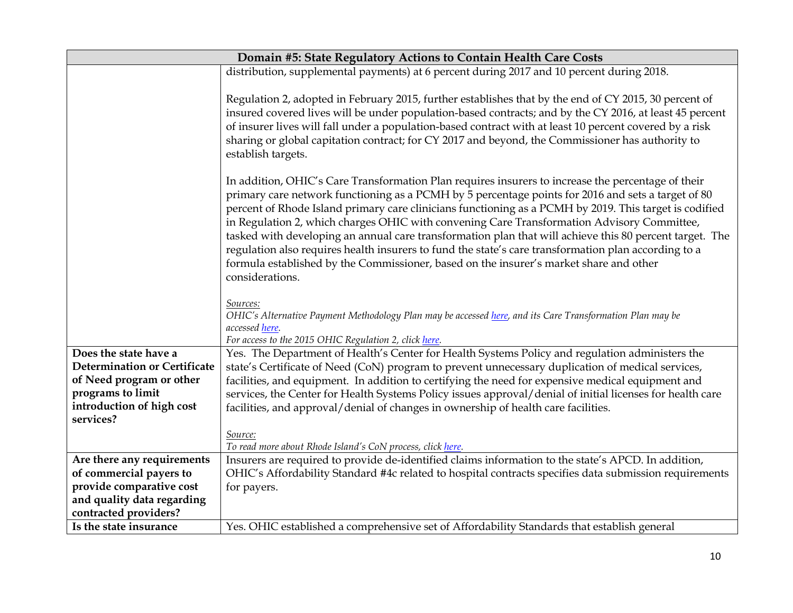| Domain #5: State Regulatory Actions to Contain Health Care Costs |                                                                                                                                                                                                                                                                                                                                                                                                                                                                                                                                                                                                                                                                                                                                                  |
|------------------------------------------------------------------|--------------------------------------------------------------------------------------------------------------------------------------------------------------------------------------------------------------------------------------------------------------------------------------------------------------------------------------------------------------------------------------------------------------------------------------------------------------------------------------------------------------------------------------------------------------------------------------------------------------------------------------------------------------------------------------------------------------------------------------------------|
|                                                                  | distribution, supplemental payments) at 6 percent during 2017 and 10 percent during 2018.                                                                                                                                                                                                                                                                                                                                                                                                                                                                                                                                                                                                                                                        |
|                                                                  |                                                                                                                                                                                                                                                                                                                                                                                                                                                                                                                                                                                                                                                                                                                                                  |
|                                                                  | Regulation 2, adopted in February 2015, further establishes that by the end of CY 2015, 30 percent of<br>insured covered lives will be under population-based contracts; and by the CY 2016, at least 45 percent<br>of insurer lives will fall under a population-based contract with at least 10 percent covered by a risk<br>sharing or global capitation contract; for CY 2017 and beyond, the Commissioner has authority to<br>establish targets.                                                                                                                                                                                                                                                                                            |
|                                                                  | In addition, OHIC's Care Transformation Plan requires insurers to increase the percentage of their<br>primary care network functioning as a PCMH by 5 percentage points for 2016 and sets a target of 80<br>percent of Rhode Island primary care clinicians functioning as a PCMH by 2019. This target is codified<br>in Regulation 2, which charges OHIC with convening Care Transformation Advisory Committee,<br>tasked with developing an annual care transformation plan that will achieve this 80 percent target. The<br>regulation also requires health insurers to fund the state's care transformation plan according to a<br>formula established by the Commissioner, based on the insurer's market share and other<br>considerations. |
|                                                                  | Sources:<br>OHIC's Alternative Payment Methodology Plan may be accessed here, and its Care Transformation Plan may be<br>accessed here.<br>For access to the 2015 OHIC Regulation 2, click here.                                                                                                                                                                                                                                                                                                                                                                                                                                                                                                                                                 |
| Does the state have a                                            | Yes. The Department of Health's Center for Health Systems Policy and regulation administers the                                                                                                                                                                                                                                                                                                                                                                                                                                                                                                                                                                                                                                                  |
| Determination or Certificate                                     | state's Certificate of Need (CoN) program to prevent unnecessary duplication of medical services,                                                                                                                                                                                                                                                                                                                                                                                                                                                                                                                                                                                                                                                |
| of Need program or other                                         | facilities, and equipment. In addition to certifying the need for expensive medical equipment and                                                                                                                                                                                                                                                                                                                                                                                                                                                                                                                                                                                                                                                |
| programs to limit                                                | services, the Center for Health Systems Policy issues approval/denial of initial licenses for health care                                                                                                                                                                                                                                                                                                                                                                                                                                                                                                                                                                                                                                        |
| introduction of high cost<br>services?                           | facilities, and approval/denial of changes in ownership of health care facilities.                                                                                                                                                                                                                                                                                                                                                                                                                                                                                                                                                                                                                                                               |
|                                                                  | Source:                                                                                                                                                                                                                                                                                                                                                                                                                                                                                                                                                                                                                                                                                                                                          |
|                                                                  | To read more about Rhode Island's CoN process, click here.                                                                                                                                                                                                                                                                                                                                                                                                                                                                                                                                                                                                                                                                                       |
| Are there any requirements                                       | Insurers are required to provide de-identified claims information to the state's APCD. In addition,                                                                                                                                                                                                                                                                                                                                                                                                                                                                                                                                                                                                                                              |
| of commercial payers to                                          | OHIC's Affordability Standard #4c related to hospital contracts specifies data submission requirements                                                                                                                                                                                                                                                                                                                                                                                                                                                                                                                                                                                                                                           |
| provide comparative cost                                         | for payers.                                                                                                                                                                                                                                                                                                                                                                                                                                                                                                                                                                                                                                                                                                                                      |
| and quality data regarding                                       |                                                                                                                                                                                                                                                                                                                                                                                                                                                                                                                                                                                                                                                                                                                                                  |
| contracted providers?                                            |                                                                                                                                                                                                                                                                                                                                                                                                                                                                                                                                                                                                                                                                                                                                                  |
| Is the state insurance                                           | Yes. OHIC established a comprehensive set of Affordability Standards that establish general                                                                                                                                                                                                                                                                                                                                                                                                                                                                                                                                                                                                                                                      |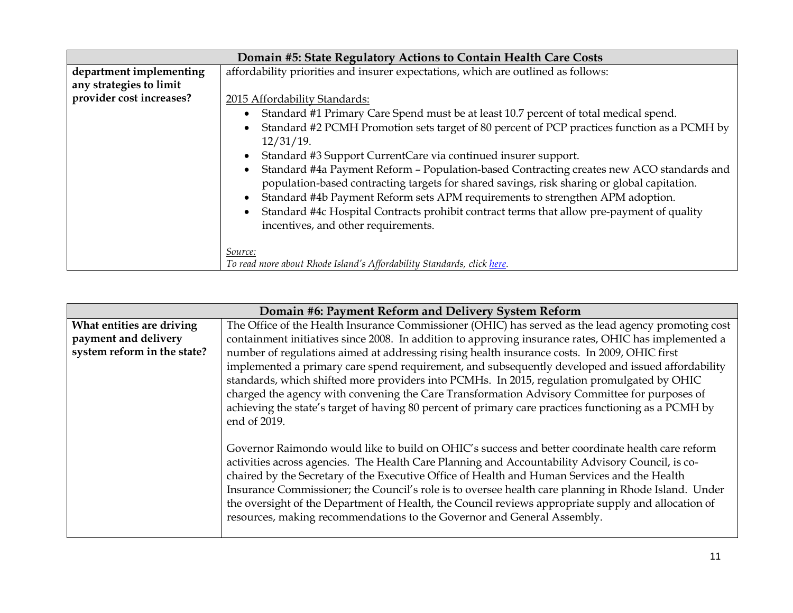|                          | Domain #5: State Regulatory Actions to Contain Health Care Costs                                                                                                                        |  |
|--------------------------|-----------------------------------------------------------------------------------------------------------------------------------------------------------------------------------------|--|
| department implementing  | affordability priorities and insurer expectations, which are outlined as follows:                                                                                                       |  |
| any strategies to limit  |                                                                                                                                                                                         |  |
| provider cost increases? | 2015 Affordability Standards:                                                                                                                                                           |  |
|                          | Standard #1 Primary Care Spend must be at least 10.7 percent of total medical spend.                                                                                                    |  |
|                          | Standard #2 PCMH Promotion sets target of 80 percent of PCP practices function as a PCMH by<br>$12/31/19$ .                                                                             |  |
|                          | Standard #3 Support CurrentCare via continued insurer support.                                                                                                                          |  |
|                          | Standard #4a Payment Reform - Population-based Contracting creates new ACO standards and<br>population-based contracting targets for shared savings, risk sharing or global capitation. |  |
|                          | Standard #4b Payment Reform sets APM requirements to strengthen APM adoption.                                                                                                           |  |
|                          | Standard #4c Hospital Contracts prohibit contract terms that allow pre-payment of quality<br>incentives, and other requirements.                                                        |  |
|                          | Source:<br>To read more about Rhode Island's Affordability Standards, click here.                                                                                                       |  |

|                             | Domain #6: Payment Reform and Delivery System Reform                                                 |
|-----------------------------|------------------------------------------------------------------------------------------------------|
| What entities are driving   | The Office of the Health Insurance Commissioner (OHIC) has served as the lead agency promoting cost  |
| payment and delivery        | containment initiatives since 2008. In addition to approving insurance rates, OHIC has implemented a |
| system reform in the state? | number of regulations aimed at addressing rising health insurance costs. In 2009, OHIC first         |
|                             | implemented a primary care spend requirement, and subsequently developed and issued affordability    |
|                             | standards, which shifted more providers into PCMHs. In 2015, regulation promulgated by OHIC          |
|                             | charged the agency with convening the Care Transformation Advisory Committee for purposes of         |
|                             | achieving the state's target of having 80 percent of primary care practices functioning as a PCMH by |
|                             | end of 2019.                                                                                         |
|                             |                                                                                                      |
|                             | Governor Raimondo would like to build on OHIC's success and better coordinate health care reform     |
|                             | activities across agencies. The Health Care Planning and Accountability Advisory Council, is co-     |
|                             | chaired by the Secretary of the Executive Office of Health and Human Services and the Health         |
|                             | Insurance Commissioner; the Council's role is to oversee health care planning in Rhode Island. Under |
|                             | the oversight of the Department of Health, the Council reviews appropriate supply and allocation of  |
|                             | resources, making recommendations to the Governor and General Assembly.                              |
|                             |                                                                                                      |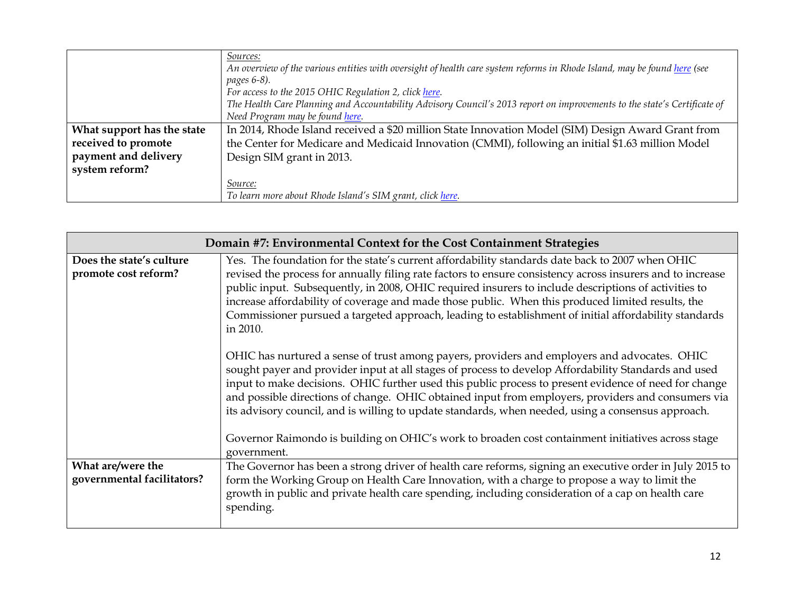|                            | Sources:<br>An overview of the various entities with oversight of health care system reforms in Rhode Island, may be found here (see<br><i>pages</i> 6-8).<br>For access to the 2015 OHIC Regulation 2, click here. |  |
|----------------------------|---------------------------------------------------------------------------------------------------------------------------------------------------------------------------------------------------------------------|--|
|                            | The Health Care Planning and Accountability Advisory Council's 2013 report on improvements to the state's Certificate of                                                                                            |  |
|                            | Need Program may be found here.                                                                                                                                                                                     |  |
| What support has the state | In 2014, Rhode Island received a \$20 million State Innovation Model (SIM) Design Award Grant from                                                                                                                  |  |
| received to promote        | the Center for Medicare and Medicaid Innovation (CMMI), following an initial \$1.63 million Model                                                                                                                   |  |
| payment and delivery       | Design SIM grant in 2013.                                                                                                                                                                                           |  |
| system reform?             |                                                                                                                                                                                                                     |  |
|                            | Source:                                                                                                                                                                                                             |  |
|                            | To learn more about Rhode Island's SIM grant, click here.                                                                                                                                                           |  |

|                                                  | Domain #7: Environmental Context for the Cost Containment Strategies                                                                                                                                                                                                                                                                                                                                                                                                                                                                            |
|--------------------------------------------------|-------------------------------------------------------------------------------------------------------------------------------------------------------------------------------------------------------------------------------------------------------------------------------------------------------------------------------------------------------------------------------------------------------------------------------------------------------------------------------------------------------------------------------------------------|
| Does the state's culture<br>promote cost reform? | Yes. The foundation for the state's current affordability standards date back to 2007 when OHIC<br>revised the process for annually filing rate factors to ensure consistency across insurers and to increase<br>public input. Subsequently, in 2008, OHIC required insurers to include descriptions of activities to<br>increase affordability of coverage and made those public. When this produced limited results, the<br>Commissioner pursued a targeted approach, leading to establishment of initial affordability standards<br>in 2010. |
|                                                  | OHIC has nurtured a sense of trust among payers, providers and employers and advocates. OHIC<br>sought payer and provider input at all stages of process to develop Affordability Standards and used<br>input to make decisions. OHIC further used this public process to present evidence of need for change<br>and possible directions of change. OHIC obtained input from employers, providers and consumers via<br>its advisory council, and is willing to update standards, when needed, using a consensus approach.                       |
|                                                  | Governor Raimondo is building on OHIC's work to broaden cost containment initiatives across stage<br>government.                                                                                                                                                                                                                                                                                                                                                                                                                                |
| What are/were the<br>governmental facilitators?  | The Governor has been a strong driver of health care reforms, signing an executive order in July 2015 to<br>form the Working Group on Health Care Innovation, with a charge to propose a way to limit the<br>growth in public and private health care spending, including consideration of a cap on health care<br>spending.                                                                                                                                                                                                                    |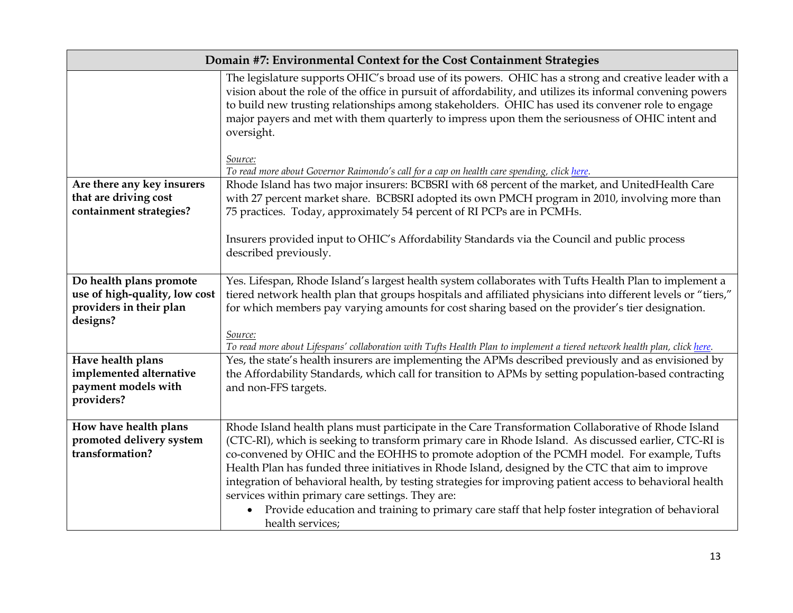| Domain #7: Environmental Context for the Cost Containment Strategies                            |                                                                                                                                                                                                                                                                                                                                                                                                                                                                                                                                                                                                                                                                                                                       |
|-------------------------------------------------------------------------------------------------|-----------------------------------------------------------------------------------------------------------------------------------------------------------------------------------------------------------------------------------------------------------------------------------------------------------------------------------------------------------------------------------------------------------------------------------------------------------------------------------------------------------------------------------------------------------------------------------------------------------------------------------------------------------------------------------------------------------------------|
|                                                                                                 | The legislature supports OHIC's broad use of its powers. OHIC has a strong and creative leader with a<br>vision about the role of the office in pursuit of affordability, and utilizes its informal convening powers<br>to build new trusting relationships among stakeholders. OHIC has used its convener role to engage<br>major payers and met with them quarterly to impress upon them the seriousness of OHIC intent and<br>oversight.<br>Source:                                                                                                                                                                                                                                                                |
|                                                                                                 | To read more about Governor Raimondo's call for a cap on health care spending, click here.                                                                                                                                                                                                                                                                                                                                                                                                                                                                                                                                                                                                                            |
| Are there any key insurers<br>that are driving cost<br>containment strategies?                  | Rhode Island has two major insurers: BCBSRI with 68 percent of the market, and UnitedHealth Care<br>with 27 percent market share. BCBSRI adopted its own PMCH program in 2010, involving more than<br>75 practices. Today, approximately 54 percent of RI PCPs are in PCMHs.                                                                                                                                                                                                                                                                                                                                                                                                                                          |
|                                                                                                 | Insurers provided input to OHIC's Affordability Standards via the Council and public process<br>described previously.                                                                                                                                                                                                                                                                                                                                                                                                                                                                                                                                                                                                 |
| Do health plans promote<br>use of high-quality, low cost<br>providers in their plan<br>designs? | Yes. Lifespan, Rhode Island's largest health system collaborates with Tufts Health Plan to implement a<br>tiered network health plan that groups hospitals and affiliated physicians into different levels or "tiers,"<br>for which members pay varying amounts for cost sharing based on the provider's tier designation.<br>Source:<br>To read more about Lifespans' collaboration with Tufts Health Plan to implement a tiered network health plan, click here.                                                                                                                                                                                                                                                    |
| Have health plans<br>implemented alternative<br>payment models with<br>providers?               | Yes, the state's health insurers are implementing the APMs described previously and as envisioned by<br>the Affordability Standards, which call for transition to APMs by setting population-based contracting<br>and non-FFS targets.                                                                                                                                                                                                                                                                                                                                                                                                                                                                                |
| How have health plans<br>promoted delivery system<br>transformation?                            | Rhode Island health plans must participate in the Care Transformation Collaborative of Rhode Island<br>(CTC-RI), which is seeking to transform primary care in Rhode Island. As discussed earlier, CTC-RI is<br>co-convened by OHIC and the EOHHS to promote adoption of the PCMH model. For example, Tufts<br>Health Plan has funded three initiatives in Rhode Island, designed by the CTC that aim to improve<br>integration of behavioral health, by testing strategies for improving patient access to behavioral health<br>services within primary care settings. They are:<br>Provide education and training to primary care staff that help foster integration of behavioral<br>$\bullet$<br>health services; |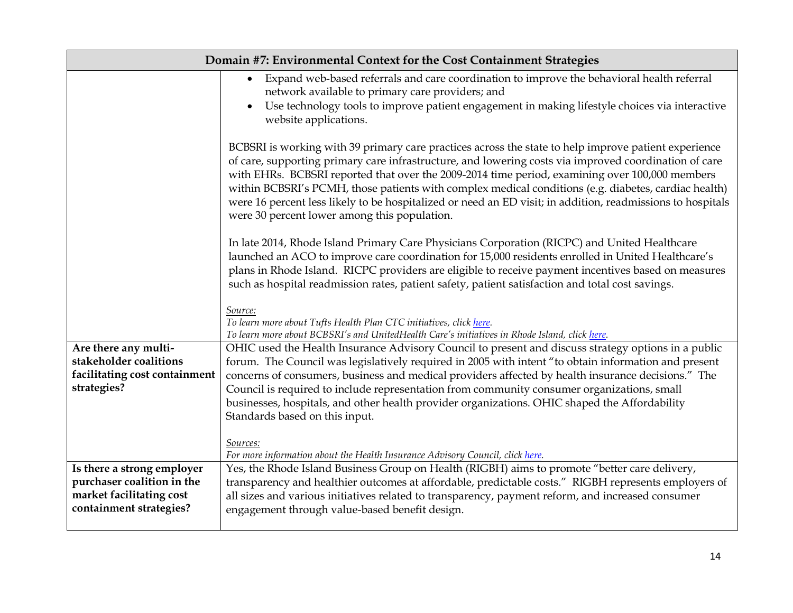|                                                                                                                 | Domain #7: Environmental Context for the Cost Containment Strategies                                                                                                                                                                                                                                                                                                                                                                                                                                                                                                                  |
|-----------------------------------------------------------------------------------------------------------------|---------------------------------------------------------------------------------------------------------------------------------------------------------------------------------------------------------------------------------------------------------------------------------------------------------------------------------------------------------------------------------------------------------------------------------------------------------------------------------------------------------------------------------------------------------------------------------------|
|                                                                                                                 | Expand web-based referrals and care coordination to improve the behavioral health referral<br>network available to primary care providers; and<br>Use technology tools to improve patient engagement in making lifestyle choices via interactive<br>website applications.                                                                                                                                                                                                                                                                                                             |
|                                                                                                                 | BCBSRI is working with 39 primary care practices across the state to help improve patient experience<br>of care, supporting primary care infrastructure, and lowering costs via improved coordination of care<br>with EHRs. BCBSRI reported that over the 2009-2014 time period, examining over 100,000 members<br>within BCBSRI's PCMH, those patients with complex medical conditions (e.g. diabetes, cardiac health)<br>were 16 percent less likely to be hospitalized or need an ED visit; in addition, readmissions to hospitals<br>were 30 percent lower among this population. |
|                                                                                                                 | In late 2014, Rhode Island Primary Care Physicians Corporation (RICPC) and United Healthcare<br>launched an ACO to improve care coordination for 15,000 residents enrolled in United Healthcare's<br>plans in Rhode Island. RICPC providers are eligible to receive payment incentives based on measures<br>such as hospital readmission rates, patient safety, patient satisfaction and total cost savings.                                                                                                                                                                          |
|                                                                                                                 | Source:<br>To learn more about Tufts Health Plan CTC initiatives, click here.<br>To learn more about BCBSRI's and UnitedHealth Care's initiatives in Rhode Island, click here.                                                                                                                                                                                                                                                                                                                                                                                                        |
| Are there any multi-<br>stakeholder coalitions<br>facilitating cost containment                                 | OHIC used the Health Insurance Advisory Council to present and discuss strategy options in a public<br>forum. The Council was legislatively required in 2005 with intent "to obtain information and present<br>concerns of consumers, business and medical providers affected by health insurance decisions." The                                                                                                                                                                                                                                                                     |
| strategies?                                                                                                     | Council is required to include representation from community consumer organizations, small<br>businesses, hospitals, and other health provider organizations. OHIC shaped the Affordability<br>Standards based on this input.                                                                                                                                                                                                                                                                                                                                                         |
|                                                                                                                 | Sources:<br>For more information about the Health Insurance Advisory Council, click here.                                                                                                                                                                                                                                                                                                                                                                                                                                                                                             |
| Is there a strong employer<br>purchaser coalition in the<br>market facilitating cost<br>containment strategies? | Yes, the Rhode Island Business Group on Health (RIGBH) aims to promote "better care delivery,<br>transparency and healthier outcomes at affordable, predictable costs." RIGBH represents employers of<br>all sizes and various initiatives related to transparency, payment reform, and increased consumer<br>engagement through value-based benefit design.                                                                                                                                                                                                                          |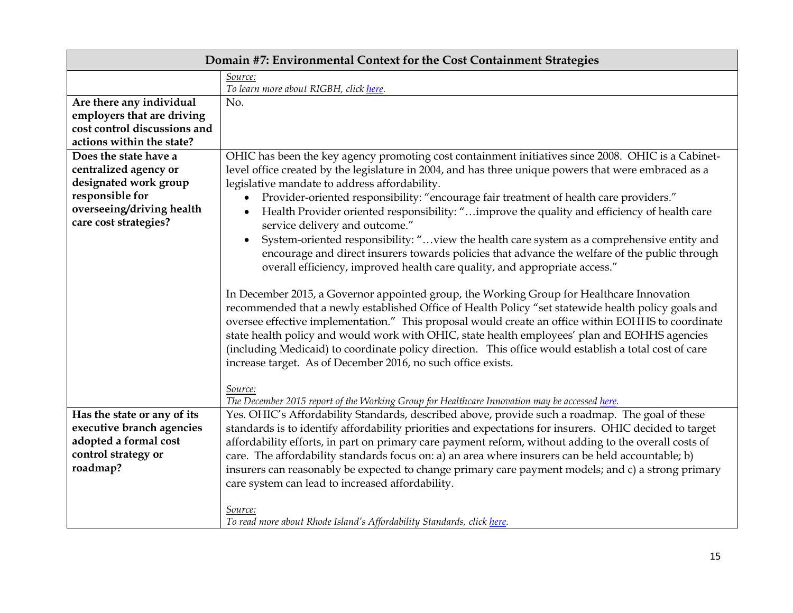| Domain #7: Environmental Context for the Cost Containment Strategies |                                                                                                                                                                                                                                                                                                                                                                                                                                                                                                                                                                                  |
|----------------------------------------------------------------------|----------------------------------------------------------------------------------------------------------------------------------------------------------------------------------------------------------------------------------------------------------------------------------------------------------------------------------------------------------------------------------------------------------------------------------------------------------------------------------------------------------------------------------------------------------------------------------|
|                                                                      | Source:                                                                                                                                                                                                                                                                                                                                                                                                                                                                                                                                                                          |
|                                                                      | To learn more about RIGBH, click here.                                                                                                                                                                                                                                                                                                                                                                                                                                                                                                                                           |
| Are there any individual                                             | No.                                                                                                                                                                                                                                                                                                                                                                                                                                                                                                                                                                              |
| employers that are driving                                           |                                                                                                                                                                                                                                                                                                                                                                                                                                                                                                                                                                                  |
| cost control discussions and                                         |                                                                                                                                                                                                                                                                                                                                                                                                                                                                                                                                                                                  |
| actions within the state?                                            |                                                                                                                                                                                                                                                                                                                                                                                                                                                                                                                                                                                  |
| Does the state have a                                                | OHIC has been the key agency promoting cost containment initiatives since 2008. OHIC is a Cabinet-                                                                                                                                                                                                                                                                                                                                                                                                                                                                               |
| centralized agency or                                                | level office created by the legislature in 2004, and has three unique powers that were embraced as a                                                                                                                                                                                                                                                                                                                                                                                                                                                                             |
| designated work group                                                | legislative mandate to address affordability.                                                                                                                                                                                                                                                                                                                                                                                                                                                                                                                                    |
| responsible for                                                      | Provider-oriented responsibility: "encourage fair treatment of health care providers."                                                                                                                                                                                                                                                                                                                                                                                                                                                                                           |
| overseeing/driving health<br>care cost strategies?                   | Health Provider oriented responsibility: "improve the quality and efficiency of health care<br>service delivery and outcome."                                                                                                                                                                                                                                                                                                                                                                                                                                                    |
|                                                                      | System-oriented responsibility: "view the health care system as a comprehensive entity and<br>$\bullet$<br>encourage and direct insurers towards policies that advance the welfare of the public through<br>overall efficiency, improved health care quality, and appropriate access."                                                                                                                                                                                                                                                                                           |
|                                                                      | In December 2015, a Governor appointed group, the Working Group for Healthcare Innovation<br>recommended that a newly established Office of Health Policy "set statewide health policy goals and<br>oversee effective implementation." This proposal would create an office within EOHHS to coordinate<br>state health policy and would work with OHIC, state health employees' plan and EOHHS agencies<br>(including Medicaid) to coordinate policy direction. This office would establish a total cost of care<br>increase target. As of December 2016, no such office exists. |
|                                                                      | Source:<br>The December 2015 report of the Working Group for Healthcare Innovation may be accessed here.                                                                                                                                                                                                                                                                                                                                                                                                                                                                         |
| Has the state or any of its                                          | Yes. OHIC's Affordability Standards, described above, provide such a roadmap. The goal of these                                                                                                                                                                                                                                                                                                                                                                                                                                                                                  |
| executive branch agencies                                            | standards is to identify affordability priorities and expectations for insurers. OHIC decided to target                                                                                                                                                                                                                                                                                                                                                                                                                                                                          |
| adopted a formal cost                                                | affordability efforts, in part on primary care payment reform, without adding to the overall costs of                                                                                                                                                                                                                                                                                                                                                                                                                                                                            |
| control strategy or                                                  | care. The affordability standards focus on: a) an area where insurers can be held accountable; b)                                                                                                                                                                                                                                                                                                                                                                                                                                                                                |
| roadmap?                                                             | insurers can reasonably be expected to change primary care payment models; and c) a strong primary                                                                                                                                                                                                                                                                                                                                                                                                                                                                               |
|                                                                      | care system can lead to increased affordability.                                                                                                                                                                                                                                                                                                                                                                                                                                                                                                                                 |
|                                                                      | Source:<br>To read more about Rhode Island's Affordability Standards, click here.                                                                                                                                                                                                                                                                                                                                                                                                                                                                                                |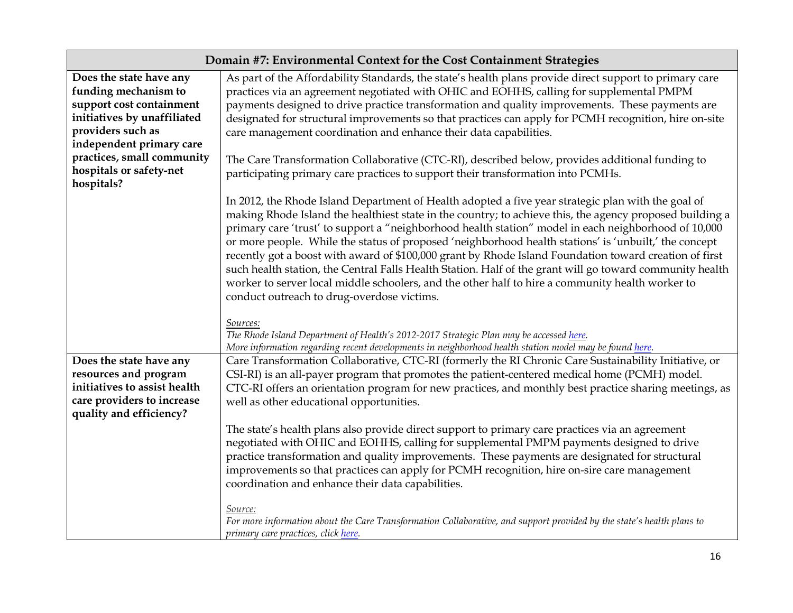|                                                       | Domain #7: Environmental Context for the Cost Containment Strategies                                                                                                                                                                                                                                                                                                                                                                                                                                                                                                                                                                                                                                                                                                                                    |
|-------------------------------------------------------|---------------------------------------------------------------------------------------------------------------------------------------------------------------------------------------------------------------------------------------------------------------------------------------------------------------------------------------------------------------------------------------------------------------------------------------------------------------------------------------------------------------------------------------------------------------------------------------------------------------------------------------------------------------------------------------------------------------------------------------------------------------------------------------------------------|
| Does the state have any<br>funding mechanism to       | As part of the Affordability Standards, the state's health plans provide direct support to primary care<br>practices via an agreement negotiated with OHIC and EOHHS, calling for supplemental PMPM                                                                                                                                                                                                                                                                                                                                                                                                                                                                                                                                                                                                     |
| support cost containment                              | payments designed to drive practice transformation and quality improvements. These payments are                                                                                                                                                                                                                                                                                                                                                                                                                                                                                                                                                                                                                                                                                                         |
| initiatives by unaffiliated                           | designated for structural improvements so that practices can apply for PCMH recognition, hire on-site                                                                                                                                                                                                                                                                                                                                                                                                                                                                                                                                                                                                                                                                                                   |
| providers such as                                     | care management coordination and enhance their data capabilities.                                                                                                                                                                                                                                                                                                                                                                                                                                                                                                                                                                                                                                                                                                                                       |
| independent primary care                              |                                                                                                                                                                                                                                                                                                                                                                                                                                                                                                                                                                                                                                                                                                                                                                                                         |
| practices, small community                            | The Care Transformation Collaborative (CTC-RI), described below, provides additional funding to                                                                                                                                                                                                                                                                                                                                                                                                                                                                                                                                                                                                                                                                                                         |
| hospitals or safety-net<br>hospitals?                 | participating primary care practices to support their transformation into PCMHs.                                                                                                                                                                                                                                                                                                                                                                                                                                                                                                                                                                                                                                                                                                                        |
|                                                       | In 2012, the Rhode Island Department of Health adopted a five year strategic plan with the goal of<br>making Rhode Island the healthiest state in the country; to achieve this, the agency proposed building a<br>primary care 'trust' to support a "neighborhood health station" model in each neighborhood of 10,000<br>or more people. While the status of proposed 'neighborhood health stations' is 'unbuilt,' the concept<br>recently got a boost with award of \$100,000 grant by Rhode Island Foundation toward creation of first<br>such health station, the Central Falls Health Station. Half of the grant will go toward community health<br>worker to server local middle schoolers, and the other half to hire a community health worker to<br>conduct outreach to drug-overdose victims. |
|                                                       | Sources:<br>The Rhode Island Department of Health's 2012-2017 Strategic Plan may be accessed here.<br>More information regarding recent developments in neighborhood health station model may be found here.                                                                                                                                                                                                                                                                                                                                                                                                                                                                                                                                                                                            |
| Does the state have any                               | Care Transformation Collaborative, CTC-RI (formerly the RI Chronic Care Sustainability Initiative, or                                                                                                                                                                                                                                                                                                                                                                                                                                                                                                                                                                                                                                                                                                   |
| resources and program                                 | CSI-RI) is an all-payer program that promotes the patient-centered medical home (PCMH) model.                                                                                                                                                                                                                                                                                                                                                                                                                                                                                                                                                                                                                                                                                                           |
| initiatives to assist health                          | CTC-RI offers an orientation program for new practices, and monthly best practice sharing meetings, as                                                                                                                                                                                                                                                                                                                                                                                                                                                                                                                                                                                                                                                                                                  |
| care providers to increase<br>quality and efficiency? | well as other educational opportunities.                                                                                                                                                                                                                                                                                                                                                                                                                                                                                                                                                                                                                                                                                                                                                                |
|                                                       | The state's health plans also provide direct support to primary care practices via an agreement<br>negotiated with OHIC and EOHHS, calling for supplemental PMPM payments designed to drive<br>practice transformation and quality improvements. These payments are designated for structural<br>improvements so that practices can apply for PCMH recognition, hire on-sire care management<br>coordination and enhance their data capabilities.<br>Source:                                                                                                                                                                                                                                                                                                                                            |
|                                                       | For more information about the Care Transformation Collaborative, and support provided by the state's health plans to<br>primary care practices, click here.                                                                                                                                                                                                                                                                                                                                                                                                                                                                                                                                                                                                                                            |